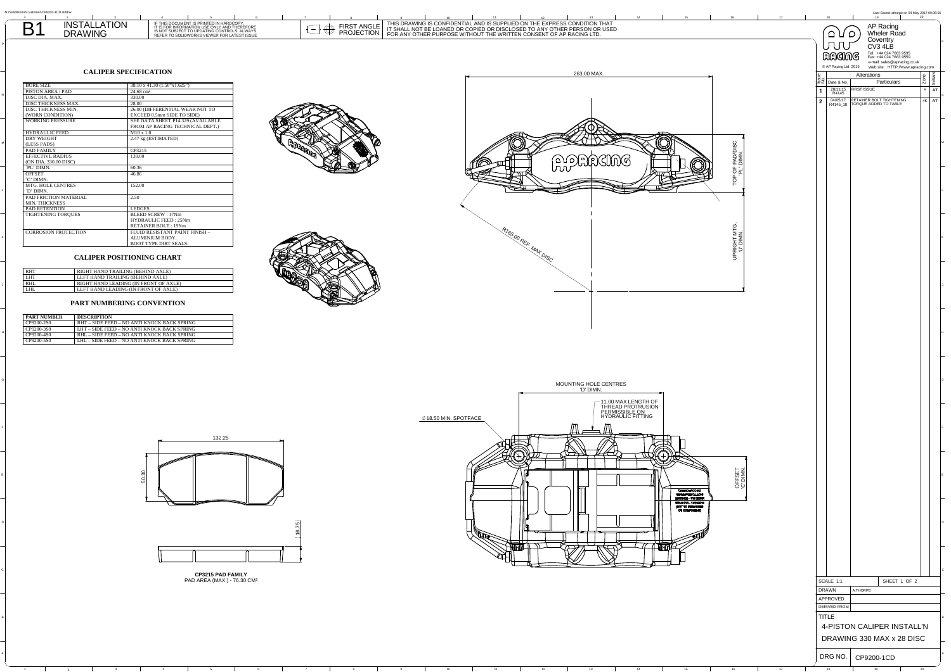| <b>INSTALLATION</b><br>B<br><b>DRAWING</b>                                                                                                                                                                                                                                                                                                                                                                                                                           | IF THIS DOCUMENT IS PRINTED IN HARDCOPY.<br>IF THIS DOCUMENT IS PRINCIPALLY INTO THE REFORE<br>IT IS FOR INFORMATION USE ONLY AND THEREFORE<br>IS NOT SUBJECT TO UPDATING CONTROLS. ALWAYS                                                                                                                                            | FIRST ANGLE<br>PROJECTION<br>$\textcircled{\tiny{+}}$ | THIS DRAWING IS CONFIDENTIAL AND IS SUPPLIED ON THE EXPRESS CONDITION THAT<br>IT SHALL NOT BE LOANED OR COPIED OR DISCLOSED TO ANY OTHER PERSON OR USED<br>FOR ANY OTHER PURPOSE WITHOUT THE WRITTEN CONSENT OF AP RACING LTD. |                               | AP Racing<br>$\cap$ $\cup$ $\cap$<br>Wheler Road<br>Coventry                                                                                                                                                                                                                                                                                                 |
|----------------------------------------------------------------------------------------------------------------------------------------------------------------------------------------------------------------------------------------------------------------------------------------------------------------------------------------------------------------------------------------------------------------------------------------------------------------------|---------------------------------------------------------------------------------------------------------------------------------------------------------------------------------------------------------------------------------------------------------------------------------------------------------------------------------------|-------------------------------------------------------|--------------------------------------------------------------------------------------------------------------------------------------------------------------------------------------------------------------------------------|-------------------------------|--------------------------------------------------------------------------------------------------------------------------------------------------------------------------------------------------------------------------------------------------------------------------------------------------------------------------------------------------------------|
| <b>CALIPER SPECIFICATION</b><br><b>BORE SIZE</b><br>PISTON AREA / PAD<br>DISC DIA, MAX.<br>DISC THICKNESS MAX.<br>DISC THICKNESS MIN.<br>(WORN CONDITION)<br><b>WORKING PRESSURE</b><br><b>HYDRAULIC FEED</b><br><b>DRY WEIGHT</b><br>(LESS PADS)<br>PAD FAMILY<br><b>EFFECTIVE RADIUS</b><br>(ON DIA, 330,00 DISC)<br>`PL' DIMN.<br><b>OFFSET</b><br>'C' DIMN.<br>MTG. HOLE CENTRES<br>`D' DIMN.<br>PAD FRICTION MATERIAL<br><b>MIN. THICKNESS</b><br>PAD RETENTION | 38.10 x 41.30 (1.50"x1.625")<br>24.68 cm <sup>2</sup><br>330.00<br>28.00<br>26.00 (DIFFERENTIAL WEAR NOT TO<br>EXCEED 0.5mm SIDE TO SIDE)<br>SEE DATA SHEET P14.329 (AVAILABLE<br>FROM AP RACING TECHNICAL DEPT.)<br>$M10 \times 1.0$<br>2.47 kg (ESTIMATED)<br>CP3215<br>139.00<br>60.36<br>46.86<br>152.00<br>2.50<br><b>LEDGES</b> |                                                       | 263.00 MAX.<br><b>APRACING</b>                                                                                                                                                                                                 | PAD/DISC<br>DIMN.<br>농군<br>ĴР | CV3 4LB<br>Tel: +44 024 7663 9595<br>Fax: +44 024 7663 9559<br>RAGING<br>e-mail: sales@apracing.co.uk<br>C AP Racing Ltd. 2015 Web site: HTTP://www.apracing.com<br>Alterations<br>Particulars<br>Date & No.<br>28/11/15<br><b>FIRST ISSUE</b><br>$#$ AT<br>R4145<br>$4K$ $AT$<br>04/05/17 RETAINER BOLT TIGHTENING<br>R4145_18 TORQUE ADDED TO TABLE<br>ر ا |
| <b>TIGHTENING TORQUES</b><br><b>CORROSION PROTECTION</b><br><b>CALIPER POSITIONING CHART</b><br><b>RHT</b><br>RIGHT HAND TRAILING (BEHIND AXLE)<br>LEFT HAND TRAILING (BEHIND AXLE)<br>LHT<br><b>RHL</b><br>RIGHT HAND LEADING (IN FRONT OF AXLE)<br>LEFT HAND LEADING (IN FRONT OF AXLE)<br>LHL<br>PART NUMBERING CONVENTION<br><b>PART NUMBER</b><br><b>DESCRIPTION</b><br>CP9200-2S0<br>CP9200-3S0                                                                | BLEED SCREW: 17Nm<br>HYDRAULIC FEED: 25Nm<br><b>RETAINER BOLT: 19Nm</b><br>FLUID RESISTANT PAINT FINISH-<br>ALUMINIUM BODY.<br><b>BOOT TYPE DIRT SEALS.</b><br>RHT - SIDE FEED - NO ANTI KNOCK BACK SPRING<br>LHT - SIDE FEED - NO ANTI KNOCK BACK SPRING                                                                             |                                                       |                                                                                                                                                                                                                                | UPRIGHT MTG<br>"U" DIMN.      |                                                                                                                                                                                                                                                                                                                                                              |

<sup>3</sup> <sup>4</sup> <sup>5</sup> <sup>6</sup> <sup>7</sup> <sup>8</sup> <sup>9</sup> <sup>10</sup> <sup>11</sup> <sup>12</sup> <sup>13</sup> <sup>14</sup> <sup>15</sup> <sup>16</sup> <sup>17</sup> <sup>18</sup> <sup>19</sup> <sup>20</sup>





**CP3215 PAD FAMILY** PAD AREA (MAX.) - 76.30 CM²

1. . .

A

CP9200-5S0 LHL – SIDE FEED – NO ANTI KNOCK BACK SPRING

G



|                            |          |              |  |  | Ċ |  |  |  |
|----------------------------|----------|--------------|--|--|---|--|--|--|
| SCALE 1:1                  |          | SHEET 1 OF 2 |  |  |   |  |  |  |
| <b>DRAWN</b>               | A.THORPE |              |  |  |   |  |  |  |
| APPROVED                   |          |              |  |  |   |  |  |  |
| <b>DERIVED FROM</b>        |          |              |  |  |   |  |  |  |
| TITLE                      |          |              |  |  |   |  |  |  |
| 4-PISTON CALIPER INSTALL'N |          |              |  |  |   |  |  |  |
| DRAWING 330 MAX x 28 DISC  |          |              |  |  |   |  |  |  |
| DRG NO.<br>CP9200-1CD      |          |              |  |  |   |  |  |  |

G

F